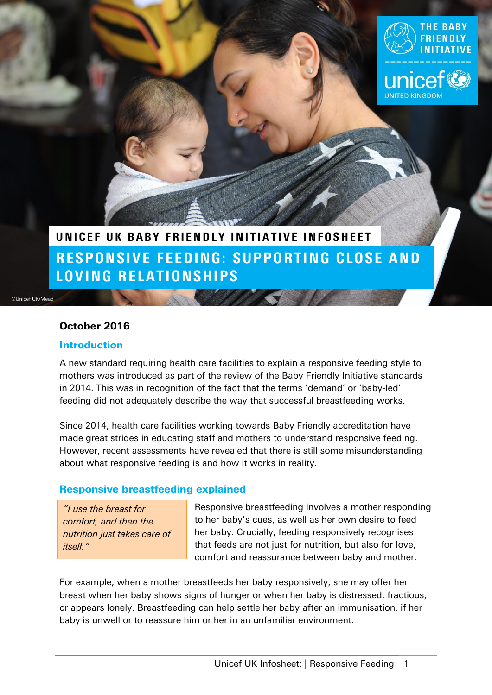

# RESPONSIVE FEEDING: SUPPORTING CLOSE AND LOVING RELATIONSHIPS UNICEF UK BABY FRIENDLY INITIATIVE INFOSHEET

**CONTRACTOR** 

©Unicef UK/Mead

### October 2016

#### **Introduction**

A new standard requiring health care facilities to explain a responsive feeding style to mothers was introduced as part of the review of the Baby Friendly Initiative standards in 2014. This was in recognition of the fact that the terms 'demand' or 'baby-led' feeding did not adequately describe the way that successful breastfeeding works.

Since 2014, health care facilities working towards Baby Friendly accreditation have made great strides in educating staff and mothers to understand responsive feeding. However, recent assessments have revealed that there is still some misunderstanding about what responsive feeding is and how it works in reality.

### Responsive breastfeeding explained

*"I use the breast for comfort, and then the nutrition just takes care of itself."*

Responsive breastfeeding involves a mother responding to her baby's cues, as well as her own desire to feed her baby. Crucially, feeding responsively recognises that feeds are not just for nutrition, but also for love, comfort and reassurance between baby and mother.

For example, when a mother breastfeeds her baby responsively, she may offer her breast when her baby shows signs of hunger or when her baby is distressed, fractious, or appears lonely. Breastfeeding can help settle her baby after an immunisation, if her baby is unwell or to reassure him or her in an unfamiliar environment.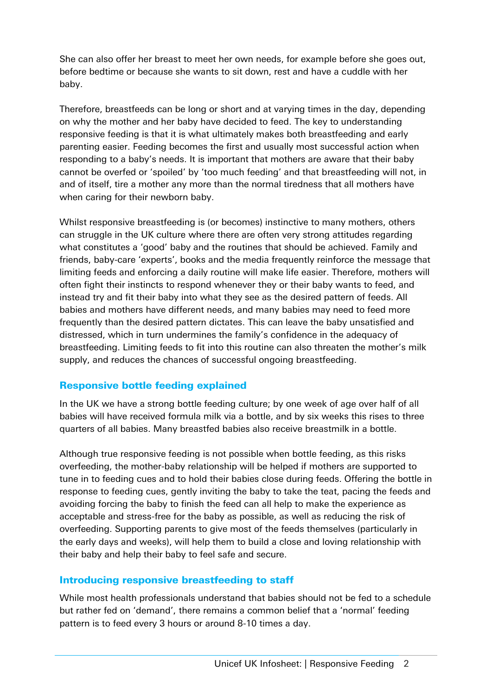She can also offer her breast to meet her own needs, for example before she goes out, before bedtime or because she wants to sit down, rest and have a cuddle with her baby.

Therefore, breastfeeds can be long or short and at varying times in the day, depending on why the mother and her baby have decided to feed. The key to understanding responsive feeding is that it is what ultimately makes both breastfeeding and early parenting easier. Feeding becomes the first and usually most successful action when responding to a baby's needs. It is important that mothers are aware that their baby cannot be overfed or 'spoiled' by 'too much feeding' and that breastfeeding will not, in and of itself, tire a mother any more than the normal tiredness that all mothers have when caring for their newborn baby.

Whilst responsive breastfeeding is (or becomes) instinctive to many mothers, others can struggle in the UK culture where there are often very strong attitudes regarding what constitutes a 'good' baby and the routines that should be achieved. Family and friends, baby-care 'experts', books and the media frequently reinforce the message that limiting feeds and enforcing a daily routine will make life easier. Therefore, mothers will often fight their instincts to respond whenever they or their baby wants to feed, and instead try and fit their baby into what they see as the desired pattern of feeds. All babies and mothers have different needs, and many babies may need to feed more frequently than the desired pattern dictates. This can leave the baby unsatisfied and distressed, which in turn undermines the family's confidence in the adequacy of breastfeeding. Limiting feeds to fit into this routine can also threaten the mother's milk supply, and reduces the chances of successful ongoing breastfeeding.

# Responsive bottle feeding explained

In the UK we have a strong bottle feeding culture; by one week of age over half of all babies will have received formula milk via a bottle, and by six weeks this rises to three quarters of all babies. Many breastfed babies also receive breastmilk in a bottle.

Although true responsive feeding is not possible when bottle feeding, as this risks overfeeding, the mother-baby relationship will be helped if mothers are supported to tune in to feeding cues and to hold their babies close during feeds. Offering the bottle in response to feeding cues, gently inviting the baby to take the teat, pacing the feeds and avoiding forcing the baby to finish the feed can all help to make the experience as acceptable and stress-free for the baby as possible, as well as reducing the risk of overfeeding. Supporting parents to give most of the feeds themselves (particularly in the early days and weeks), will help them to build a close and loving relationship with their baby and help their baby to feel safe and secure.

# Introducing responsive breastfeeding to staff

While most health professionals understand that babies should not be fed to a schedule but rather fed on 'demand', there remains a common belief that a 'normal' feeding pattern is to feed every 3 hours or around 8-10 times a day.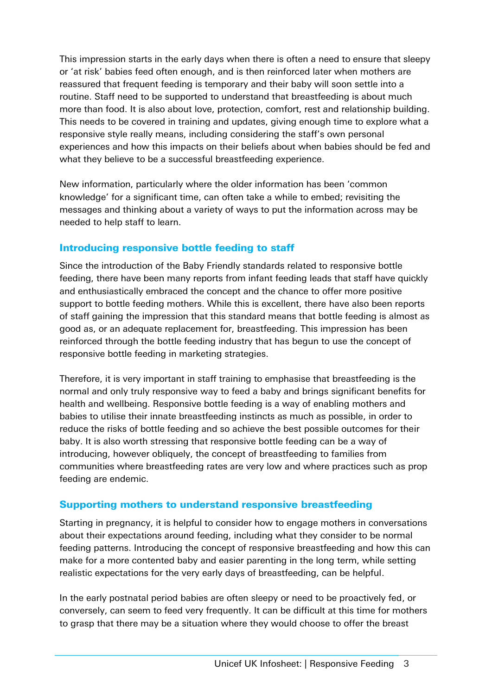This impression starts in the early days when there is often a need to ensure that sleepy or 'at risk' babies feed often enough, and is then reinforced later when mothers are reassured that frequent feeding is temporary and their baby will soon settle into a routine. Staff need to be supported to understand that breastfeeding is about much more than food. It is also about love, protection, comfort, rest and relationship building. This needs to be covered in training and updates, giving enough time to explore what a responsive style really means, including considering the staff's own personal experiences and how this impacts on their beliefs about when babies should be fed and what they believe to be a successful breastfeeding experience.

New information, particularly where the older information has been 'common knowledge' for a significant time, can often take a while to embed; revisiting the messages and thinking about a variety of ways to put the information across may be needed to help staff to learn.

# Introducing responsive bottle feeding to staff

Since the introduction of the Baby Friendly standards related to responsive bottle feeding, there have been many reports from infant feeding leads that staff have quickly and enthusiastically embraced the concept and the chance to offer more positive support to bottle feeding mothers. While this is excellent, there have also been reports of staff gaining the impression that this standard means that bottle feeding is almost as good as, or an adequate replacement for, breastfeeding. This impression has been reinforced through the bottle feeding industry that has begun to use the concept of responsive bottle feeding in marketing strategies.

Therefore, it is very important in staff training to emphasise that breastfeeding is the normal and only truly responsive way to feed a baby and brings significant benefits for health and wellbeing. Responsive bottle feeding is a way of enabling mothers and babies to utilise their innate breastfeeding instincts as much as possible, in order to reduce the risks of bottle feeding and so achieve the best possible outcomes for their baby. It is also worth stressing that responsive bottle feeding can be a way of introducing, however obliquely, the concept of breastfeeding to families from communities where breastfeeding rates are very low and where practices such as prop feeding are endemic.

# Supporting mothers to understand responsive breastfeeding

Starting in pregnancy, it is helpful to consider how to engage mothers in conversations about their expectations around feeding, including what they consider to be normal feeding patterns. Introducing the concept of responsive breastfeeding and how this can make for a more contented baby and easier parenting in the long term, while setting realistic expectations for the very early days of breastfeeding, can be helpful.

In the early postnatal period babies are often sleepy or need to be proactively fed, or conversely, can seem to feed very frequently. It can be difficult at this time for mothers to grasp that there may be a situation where they would choose to offer the breast